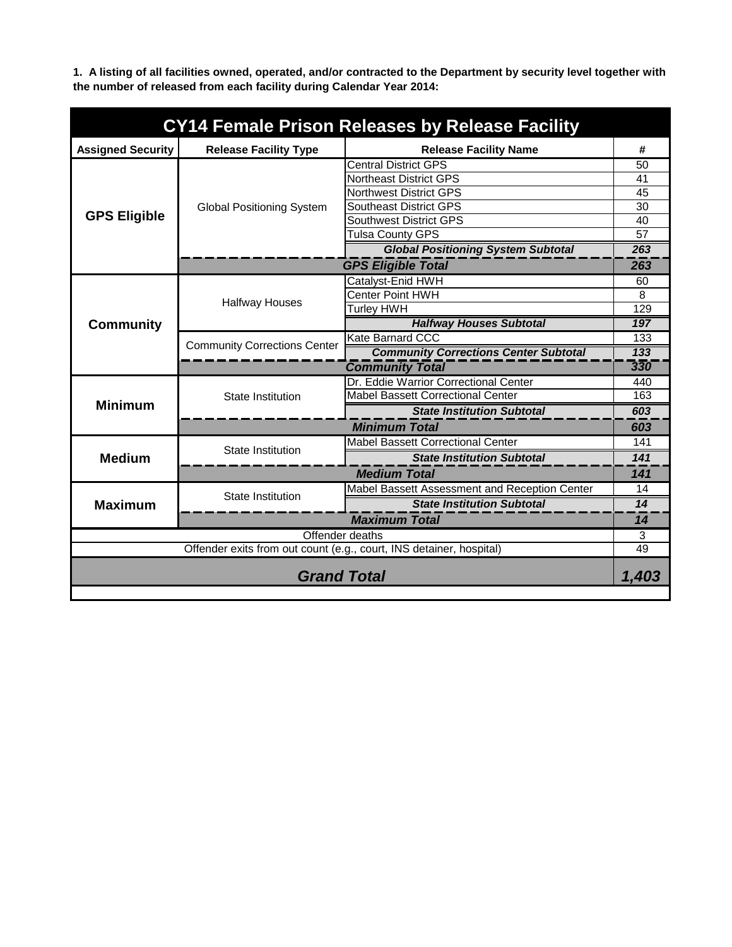**1. A listing of all facilities owned, operated, and/or contracted to the Department by security level together with the number of released from each facility during Calendar Year 2014:**

| CY14 Female Prison Releases by Release Facility                           |                                     |                                               |            |  |
|---------------------------------------------------------------------------|-------------------------------------|-----------------------------------------------|------------|--|
| <b>Assigned Security</b>                                                  | <b>Release Facility Type</b>        | <b>Release Facility Name</b>                  | #          |  |
|                                                                           |                                     | <b>Central District GPS</b>                   | 50         |  |
|                                                                           |                                     | <b>Northeast District GPS</b>                 | 41         |  |
|                                                                           |                                     | <b>Northwest District GPS</b>                 | 45         |  |
|                                                                           | <b>Global Positioning System</b>    | <b>Southeast District GPS</b>                 | 30         |  |
| <b>GPS Eligible</b>                                                       |                                     | <b>Southwest District GPS</b>                 | 40         |  |
|                                                                           |                                     | Tulsa County GPS                              | 57         |  |
|                                                                           |                                     | <b>Global Positioning System Subtotal</b>     | 263        |  |
|                                                                           |                                     | <b>GPS Eligible Total</b>                     | 263        |  |
|                                                                           |                                     | Catalyst-Enid HWH                             | 60         |  |
|                                                                           | <b>Halfway Houses</b>               | <b>Center Point HWH</b>                       | 8          |  |
|                                                                           |                                     | <b>Turley HWH</b>                             | 129        |  |
| <b>Community</b>                                                          |                                     | <b>Halfway Houses Subtotal</b>                | 197        |  |
|                                                                           | <b>Community Corrections Center</b> | <b>Kate Barnard CCC</b>                       | 133        |  |
|                                                                           |                                     | <b>Community Corrections Center Subtotal</b>  | 133<br>330 |  |
|                                                                           | <b>Community Total</b>              |                                               |            |  |
|                                                                           | <b>State Institution</b>            | Dr. Eddie Warrior Correctional Center         | 440        |  |
| <b>Minimum</b>                                                            |                                     | <b>Mabel Bassett Correctional Center</b>      | 163        |  |
|                                                                           |                                     | <b>State Institution Subtotal</b>             | 603        |  |
|                                                                           | <b>Minimum Total</b>                |                                               |            |  |
|                                                                           | <b>State Institution</b>            | <b>Mabel Bassett Correctional Center</b>      | 141        |  |
| <b>Medium</b>                                                             |                                     | <b>State Institution Subtotal</b>             | 141        |  |
|                                                                           | <b>Medium Total</b>                 |                                               |            |  |
|                                                                           | <b>State Institution</b>            | Mabel Bassett Assessment and Reception Center | 14         |  |
| <b>Maximum</b>                                                            |                                     | <b>State Institution Subtotal</b>             | 14         |  |
|                                                                           | <b>Maximum Total</b>                |                                               |            |  |
| Offender deaths                                                           |                                     |                                               | 3          |  |
| Offender exits from out count (e.g., court, INS detainer, hospital)<br>49 |                                     |                                               |            |  |
| <b>Grand Total</b>                                                        |                                     |                                               | 1,403      |  |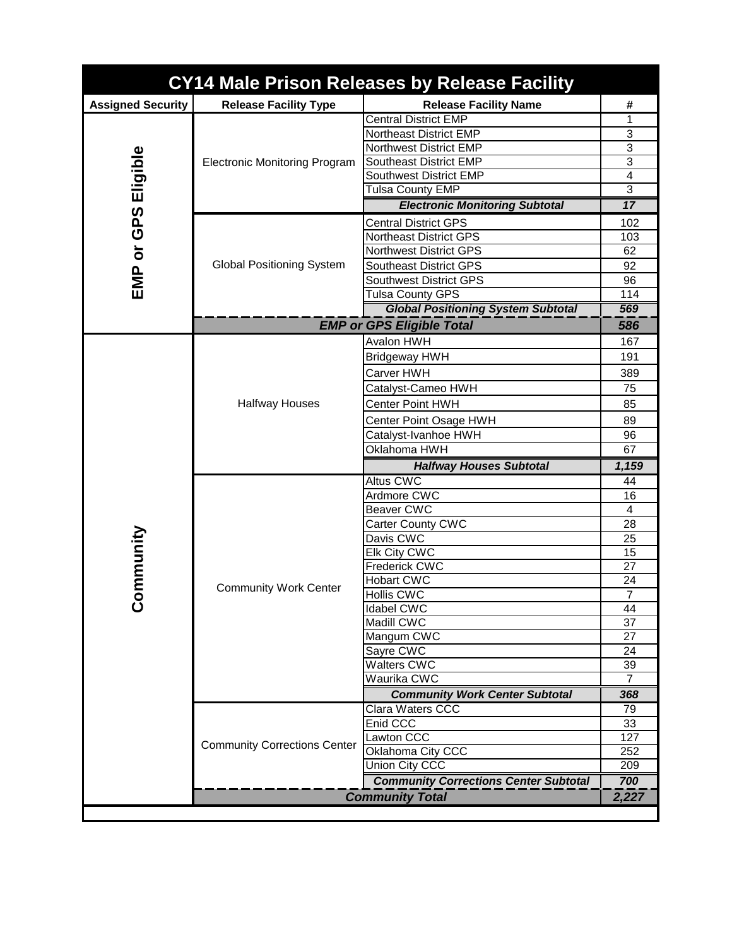| CY14 Male Prison Releases by Release Facility |                                      |                                                                        |                |  |
|-----------------------------------------------|--------------------------------------|------------------------------------------------------------------------|----------------|--|
| <b>Assigned Security</b>                      | <b>Release Facility Type</b>         | <b>Release Facility Name</b>                                           | #              |  |
|                                               | <b>Electronic Monitoring Program</b> | <b>Central District EMP</b>                                            | 1              |  |
|                                               |                                      | <b>Northeast District EMP</b>                                          | 3              |  |
| Eligible                                      |                                      | <b>Northwest District EMP</b>                                          | 3              |  |
|                                               |                                      | <b>Southeast District EMP</b>                                          | 3              |  |
|                                               |                                      | <b>Southwest District EMP</b>                                          | $\overline{4}$ |  |
|                                               |                                      | <b>Tulsa County EMP</b>                                                | 3              |  |
|                                               |                                      | <b>Electronic Monitoring Subtotal</b>                                  | 17             |  |
| GPS                                           |                                      | <b>Central District GPS</b>                                            | 102            |  |
|                                               |                                      | <b>Northeast District GPS</b>                                          | 103            |  |
| $\overline{\mathsf{o}}$                       |                                      | <b>Northwest District GPS</b>                                          | 62             |  |
|                                               | <b>Global Positioning System</b>     | <b>Southeast District GPS</b>                                          | 92             |  |
| EMP                                           |                                      | <b>Southwest District GPS</b>                                          | 96             |  |
|                                               |                                      | <b>Tulsa County GPS</b>                                                | 114            |  |
|                                               |                                      | <b>Global Positioning System Subtotal</b>                              | 569            |  |
|                                               |                                      | <b>EMP or GPS Eligible Total</b>                                       | 586            |  |
|                                               |                                      | <b>Avalon HWH</b>                                                      | 167            |  |
|                                               |                                      | Bridgeway HWH                                                          | 191            |  |
|                                               |                                      | Carver HWH                                                             | 389            |  |
|                                               |                                      | Catalyst-Cameo HWH                                                     | 75             |  |
|                                               | <b>Halfway Houses</b>                | <b>Center Point HWH</b>                                                | 85             |  |
|                                               |                                      | Center Point Osage HWH                                                 | 89             |  |
|                                               |                                      | Catalyst-Ivanhoe HWH                                                   | 96             |  |
|                                               |                                      | Oklahoma HWH                                                           | 67             |  |
|                                               |                                      |                                                                        |                |  |
|                                               |                                      |                                                                        |                |  |
|                                               |                                      | <b>Halfway Houses Subtotal</b>                                         | 1,159          |  |
|                                               |                                      | <b>Altus CWC</b>                                                       | 44             |  |
|                                               |                                      | Ardmore CWC<br><b>Beaver CWC</b>                                       | 16<br>4        |  |
|                                               |                                      |                                                                        | 28             |  |
|                                               |                                      | <b>Carter County CWC</b><br>Davis CWC                                  | 25             |  |
|                                               |                                      | Elk City CWC                                                           | 15             |  |
|                                               |                                      | Frederick CWC                                                          | 27             |  |
|                                               |                                      | <b>Hobart CWC</b>                                                      | 24             |  |
| ommunity                                      | <b>Community Work Center</b>         | <b>Hollis CWC</b>                                                      | $\overline{7}$ |  |
|                                               |                                      | <b>Idabel CWC</b>                                                      | 44             |  |
|                                               |                                      | Madill CWC                                                             | 37             |  |
|                                               |                                      | Mangum CWC                                                             | 27             |  |
|                                               |                                      | Sayre CWC                                                              | 24             |  |
|                                               |                                      | Walters CWC                                                            | 39             |  |
|                                               |                                      | Waurika CWC                                                            | 7              |  |
|                                               |                                      | <b>Community Work Center Subtotal</b>                                  | 368            |  |
|                                               |                                      | Clara Waters CCC                                                       | 79             |  |
|                                               |                                      | Enid CCC                                                               | 33             |  |
|                                               | <b>Community Corrections Center</b>  | Lawton CCC                                                             | 127            |  |
|                                               |                                      | Oklahoma City CCC                                                      | 252            |  |
|                                               |                                      | Union City CCC                                                         | 209            |  |
|                                               |                                      | <b>Community Corrections Center Subtotal</b><br><b>Community Total</b> | 700<br>2,227   |  |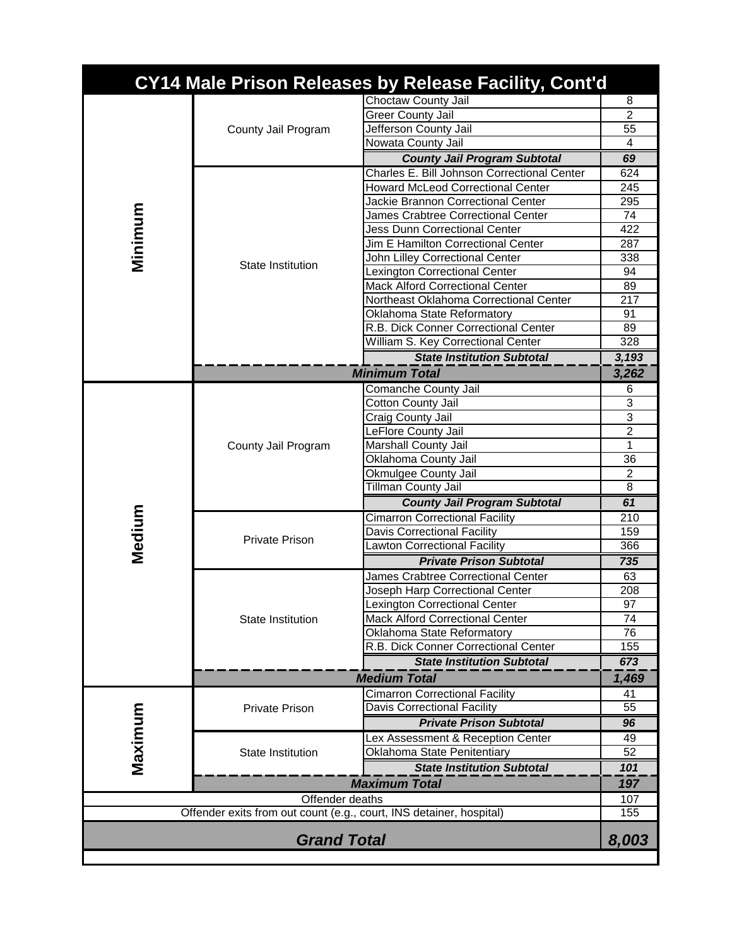|                                                                     |                          | <b>CY14 Male Prison Releases by Release Facility, Cont'd</b> |                     |
|---------------------------------------------------------------------|--------------------------|--------------------------------------------------------------|---------------------|
|                                                                     |                          | Choctaw County Jail                                          | 8                   |
|                                                                     | County Jail Program      | <b>Greer County Jail</b>                                     | $\overline{2}$      |
|                                                                     |                          | Jefferson County Jail                                        | 55                  |
|                                                                     |                          | Nowata County Jail                                           | 4                   |
|                                                                     |                          | <b>County Jail Program Subtotal</b>                          | 69                  |
|                                                                     |                          | Charles E. Bill Johnson Correctional Center                  | 624                 |
|                                                                     |                          | <b>Howard McLeod Correctional Center</b>                     | 245                 |
| Minimum                                                             |                          | Jackie Brannon Correctional Center                           | 295                 |
|                                                                     |                          | James Crabtree Correctional Center                           | 74                  |
|                                                                     |                          | <b>Jess Dunn Correctional Center</b>                         | 422                 |
|                                                                     |                          | Jim E Hamilton Correctional Center                           | 287                 |
|                                                                     | State Institution        | John Lilley Correctional Center                              | 338                 |
|                                                                     |                          | Lexington Correctional Center                                | 94                  |
|                                                                     |                          | <b>Mack Alford Correctional Center</b>                       | 89                  |
|                                                                     |                          | Northeast Oklahoma Correctional Center                       | 217                 |
|                                                                     |                          | Oklahoma State Reformatory                                   | 91                  |
|                                                                     |                          | R.B. Dick Conner Correctional Center                         | 89                  |
|                                                                     |                          | William S. Key Correctional Center                           | 328                 |
|                                                                     |                          | <b>State Institution Subtotal</b>                            | 3,193               |
|                                                                     |                          | <b>Minimum Total</b>                                         | 3,262               |
|                                                                     |                          | Comanche County Jail                                         | 6                   |
|                                                                     |                          | Cotton County Jail                                           | 3<br>$\overline{3}$ |
|                                                                     | County Jail Program      | Craig County Jail                                            | $\overline{2}$      |
|                                                                     |                          | LeFlore County Jail<br>Marshall County Jail                  | 1                   |
|                                                                     |                          | Oklahoma County Jail                                         | 36                  |
|                                                                     |                          | Okmulgee County Jail                                         | $\overline{2}$      |
|                                                                     |                          | Tillman County Jail                                          | $\overline{8}$      |
|                                                                     |                          | <b>County Jail Program Subtotal</b>                          | 61                  |
| Medium                                                              | <b>Private Prison</b>    | <b>Cimarron Correctional Facility</b>                        | 210                 |
|                                                                     |                          | Davis Correctional Facility                                  | 159                 |
|                                                                     |                          | Lawton Correctional Facility                                 | 366                 |
|                                                                     |                          | <b>Private Prison Subtotal</b>                               | 735                 |
|                                                                     | State Institution        | James Crabtree Correctional Center                           | 63                  |
|                                                                     |                          | Joseph Harp Correctional Center                              | 208                 |
|                                                                     |                          | Lexington Correctional Center                                | 97                  |
|                                                                     |                          | <b>Mack Alford Correctional Center</b>                       | 74                  |
|                                                                     |                          | Oklahoma State Reformatory                                   | 76                  |
|                                                                     |                          | R.B. Dick Conner Correctional Center                         | 155                 |
|                                                                     |                          | <b>State Institution Subtotal</b>                            | 673                 |
|                                                                     |                          | <b>Medium Total</b>                                          | 1,469               |
|                                                                     | <b>Private Prison</b>    | <b>Cimarron Correctional Facility</b>                        | 41                  |
|                                                                     |                          | <b>Davis Correctional Facility</b>                           | 55                  |
| Maximum                                                             |                          | <b>Private Prison Subtotal</b>                               | 96                  |
|                                                                     |                          | Lex Assessment & Reception Center                            | 49                  |
|                                                                     | <b>State Institution</b> | Oklahoma State Penitentiary                                  | 52                  |
|                                                                     |                          | <b>State Institution Subtotal</b>                            | 101<br>197          |
|                                                                     | <b>Maximum Total</b>     |                                                              |                     |
|                                                                     | Offender deaths          |                                                              | 107                 |
| Offender exits from out count (e.g., court, INS detainer, hospital) |                          |                                                              | 155                 |
| <b>Grand Total</b>                                                  |                          |                                                              | 8,003               |
|                                                                     |                          |                                                              |                     |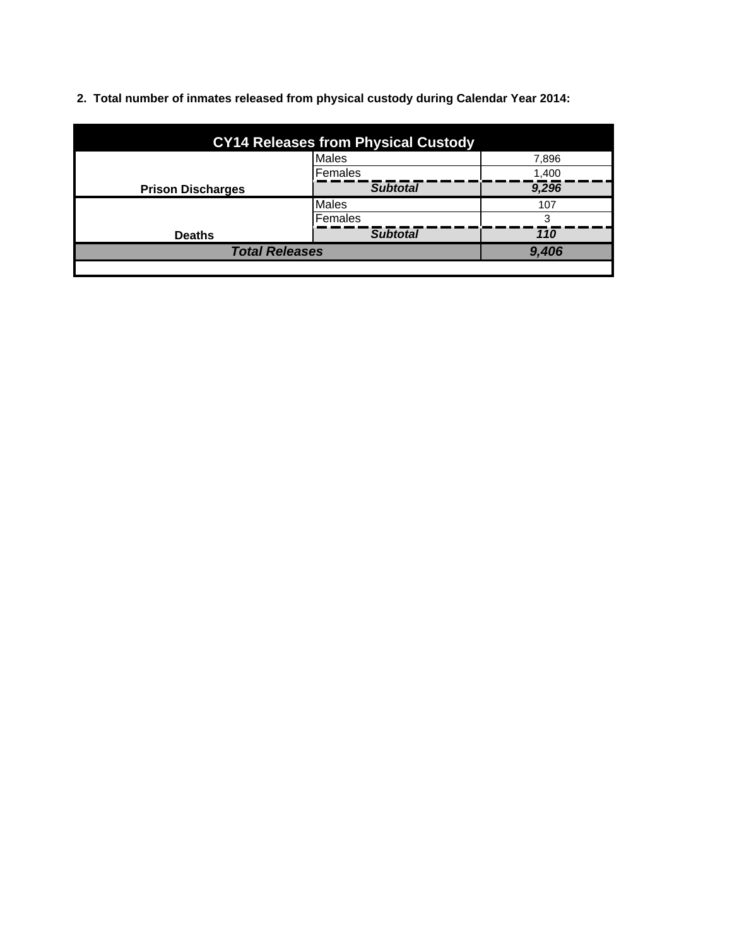**2. Total number of inmates released from physical custody during Calendar Year 2014:**

| <b>CY14 Releases from Physical Custody</b> |                 |       |  |
|--------------------------------------------|-----------------|-------|--|
|                                            | <b>Males</b>    | 7,896 |  |
|                                            | Females         | 1,400 |  |
| <b>Prison Discharges</b>                   | <b>Subtotal</b> | 9,296 |  |
|                                            | <b>Males</b>    | 107   |  |
|                                            | Females         | 3     |  |
| <b>Deaths</b>                              | <b>Subtotal</b> | 110   |  |
| <b>Total Releases</b>                      |                 | 9,406 |  |
|                                            |                 |       |  |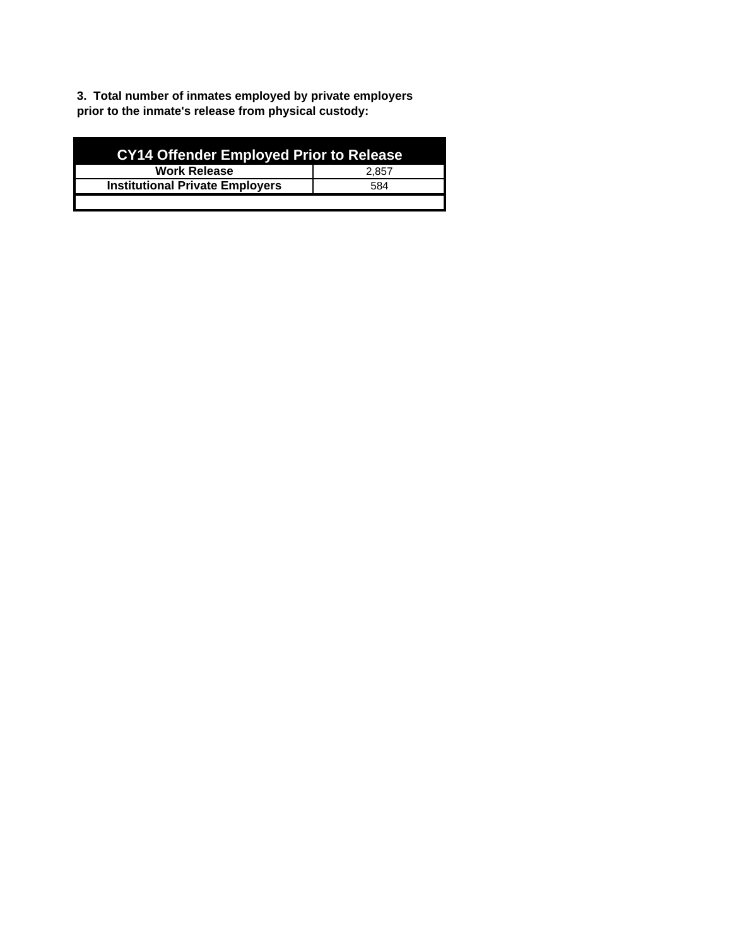**3. Total number of inmates employed by private employers prior to the inmate's release from physical custody:**

| <b>CY14 Offender Employed Prior to Release</b> |       |  |  |
|------------------------------------------------|-------|--|--|
| <b>Work Release</b>                            | 2.857 |  |  |
| <b>Institutional Private Employers</b>         | 584   |  |  |
|                                                |       |  |  |